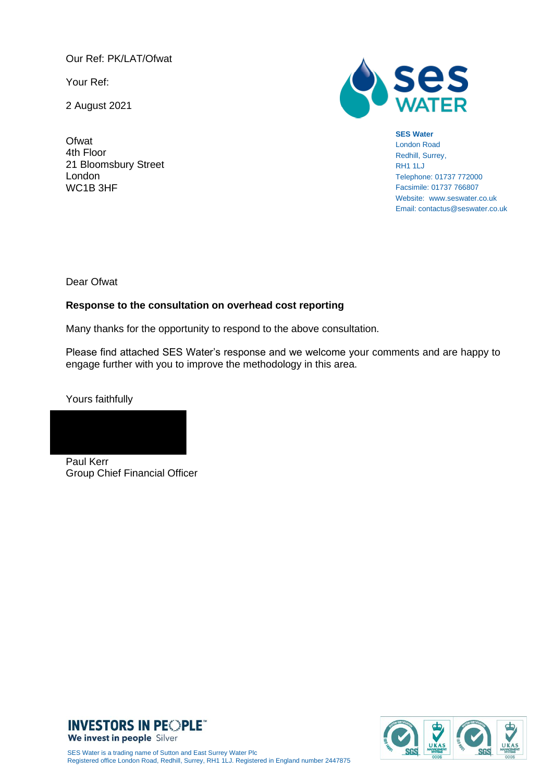Our Ref: PK/LAT/Ofwat

Your Ref:

2 August 2021

**Ofwat** 4th Floor 21 Bloomsbury Street London WC1B 3HF



#### **SES Water**

London Road Redhill, Surrey, RH1 1LJ Telephone: 01737 772000 Facsimile: 01737 766807 Website: www.seswater.co.uk Email: contactus@seswater.co.uk

Dear Ofwat

#### **Response to the consultation on overhead cost reporting**

Many thanks for the opportunity to respond to the above consultation.

Please find attached SES Water's response and we welcome your comments and are happy to engage further with you to improve the methodology in this area.

Yours faithfully

Paul Kerr Group Chief Financial Officer



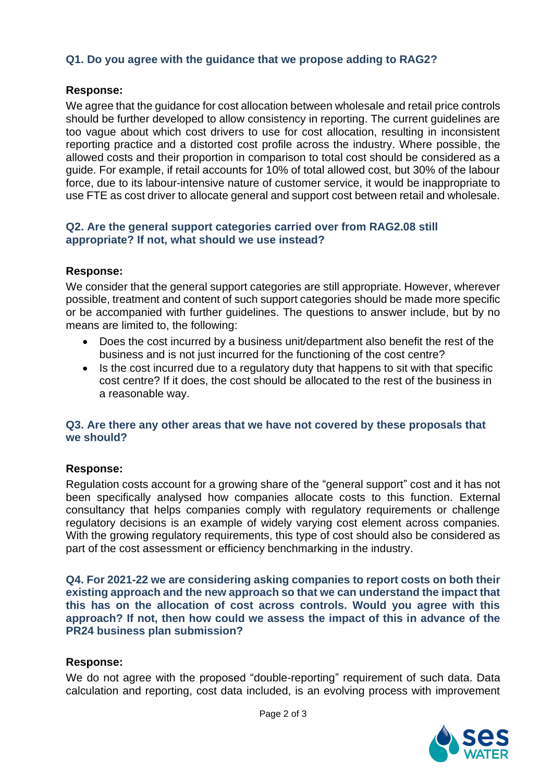# **Q1. Do you agree with the guidance that we propose adding to RAG2?**

# **Response:**

We agree that the guidance for cost allocation between wholesale and retail price controls should be further developed to allow consistency in reporting. The current guidelines are too vague about which cost drivers to use for cost allocation, resulting in inconsistent reporting practice and a distorted cost profile across the industry. Where possible, the allowed costs and their proportion in comparison to total cost should be considered as a guide. For example, if retail accounts for 10% of total allowed cost, but 30% of the labour force, due to its labour-intensive nature of customer service, it would be inappropriate to use FTE as cost driver to allocate general and support cost between retail and wholesale.

## **Q2. Are the general support categories carried over from RAG2.08 still appropriate? If not, what should we use instead?**

## **Response:**

We consider that the general support categories are still appropriate. However, wherever possible, treatment and content of such support categories should be made more specific or be accompanied with further guidelines. The questions to answer include, but by no means are limited to, the following:

- Does the cost incurred by a business unit/department also benefit the rest of the business and is not just incurred for the functioning of the cost centre?
- Is the cost incurred due to a regulatory duty that happens to sit with that specific cost centre? If it does, the cost should be allocated to the rest of the business in a reasonable way.

## **Q3. Are there any other areas that we have not covered by these proposals that we should?**

# **Response:**

Regulation costs account for a growing share of the "general support" cost and it has not been specifically analysed how companies allocate costs to this function. External consultancy that helps companies comply with regulatory requirements or challenge regulatory decisions is an example of widely varying cost element across companies. With the growing regulatory requirements, this type of cost should also be considered as part of the cost assessment or efficiency benchmarking in the industry.

**Q4. For 2021-22 we are considering asking companies to report costs on both their existing approach and the new approach so that we can understand the impact that this has on the allocation of cost across controls. Would you agree with this approach? If not, then how could we assess the impact of this in advance of the PR24 business plan submission?**

## **Response:**

We do not agree with the proposed "double-reporting" requirement of such data. Data calculation and reporting, cost data included, is an evolving process with improvement